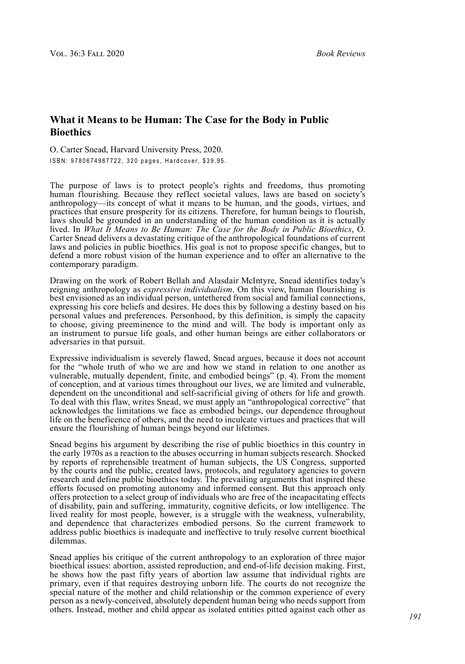## **What it Means to be Human: The Case for the Body in Public Bioethics**

O. Carter Snead, Harvard University Press, 2020. ISBN: 9780674987722, 320 pages, Hardcover, \$39.95.

The purpose of laws is to protect people's rights and freedoms, thus promoting human flourishing. Because they reflect societal values, laws are based on society's anthropology—its concept of what it means to be human, and the goods, virtues, and practices that ensure prosperity for its citizens. Therefore, for human beings to flourish, laws should be grounded in an understanding of the human condition as it is actually lived. In *What It Means to Be Human: The Case for the Body in Public Bioethics*, O. Carter Snead delivers a devastating critique of the anthropological foundations of current laws and policies in public bioethics. His goal is not to propose specific changes, but to defend a more robust vision of the human experience and to offer an alternative to the contemporary paradigm.

Drawing on the work of Robert Bellah and Alasdair McIntyre, Snead identifies today's reigning anthropology as *expressive individualism*. On this view, human flourishing is best envisioned as an individual person, untethered from social and familial connections, expressing his core beliefs and desires. He does this by following a destiny based on his personal values and preferences. Personhood, by this definition, is simply the capacity to choose, giving preeminence to the mind and will. The body is important only as an instrument to pursue life goals, and other human beings are either collaborators or adversaries in that pursuit.

Expressive individualism is severely flawed, Snead argues, because it does not account for the "whole truth of who we are and how we stand in relation to one another as vulnerable, mutually dependent, finite, and embodied beings" (p. 4). From the moment of conception, and at various times throughout our lives, we are limited and vulnerable, dependent on the unconditional and self-sacrificial giving of others for life and growth. To deal with this flaw, writes Snead, we must apply an "anthropological corrective" that acknowledges the limitations we face as embodied beings, our dependence throughout life on the beneficence of others, and the need to inculcate virtues and practices that will ensure the flourishing of human beings beyond our lifetimes.

Snead begins his argument by describing the rise of public bioethics in this country in the early 1970s as a reaction to the abuses occurring in human subjects research. Shocked by reports of reprehensible treatment of human subjects, the US Congress, supported by the courts and the public, created laws, protocols, and regulatory agencies to govern research and define public bioethics today. The prevailing arguments that inspired these efforts focused on promoting autonomy and informed consent. But this approach only offers protection to a select group of individuals who are free of the incapacitating effects of disability, pain and suffering, immaturity, cognitive deficits, or low intelligence. The lived reality for most people, however, is a struggle with the weakness, vulnerability, and dependence that characterizes embodied persons. So the current framework to address public bioethics is inadequate and ineffective to truly resolve current bioethical dilemmas.

Snead applies his critique of the current anthropology to an exploration of three major bioethical issues: abortion, assisted reproduction, and end-of-life decision making. First, he shows how the past fifty years of abortion law assume that individual rights are primary, even if that requires destroying unborn life. The courts do not recognize the special nature of the mother and child relationship or the common experience of every person as a newly-conceived, absolutely dependent human being who needs support from others. Instead, mother and child appear as isolated entities pitted against each other as *191*